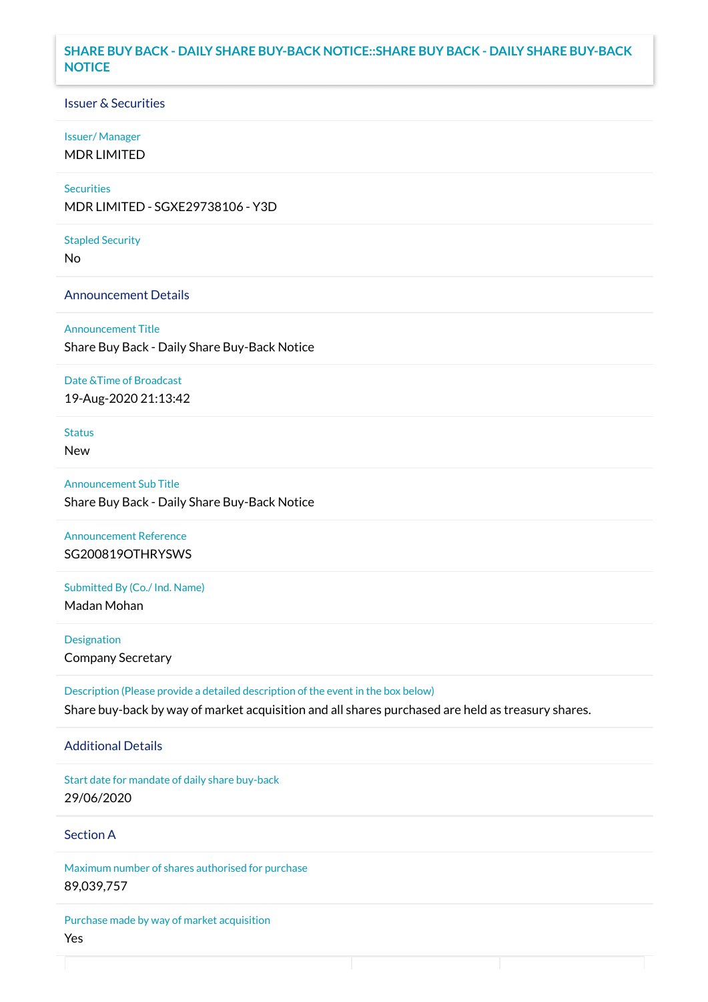#### **SHARE BUY BACK - DAILY SHARE BUY-BACK NOTICE::SHARE BUY BACK - DAILY SHARE BUY-BACK NOTICE**

#### Issuer & Securities

#### Issuer/ Manager

MDR LIMITED

## **Securities**

MDR LIMITED - SGXE29738106 - Y3D

#### Stapled Security

No

#### Announcement Details

Announcement Title Share Buy Back - Daily Share Buy-Back Notice

#### Date &Time of Broadcast

19-Aug-2020 21:13:42

## Status

New

# Announcement Sub Title Share Buy Back - Daily Share Buy-Back Notice

Announcement Reference SG200819OTHRYSWS

# Submitted By (Co./ Ind. Name)

Madan Mohan

**Designation** Company Secretary

Description (Please provide a detailed description of the event in the box below) Share buy-back by way of market acquisition and all shares purchased are held as treasury shares.

#### Additional Details

Start date for mandate of daily share buy-back 29/06/2020

### Section A

Maximum number of shares authorised for purchase 89,039,757

Purchase made by way of market acquisition Yes